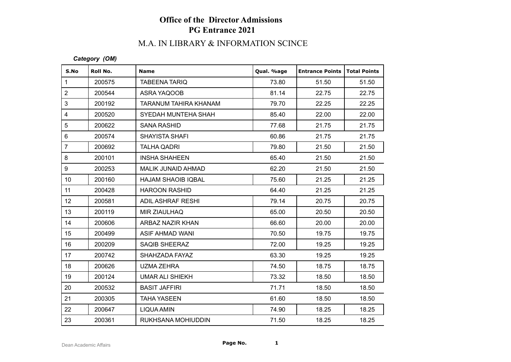# **Office of the Director Admissions PG Entrance 2021**

## M.A. IN LIBRARY & INFORMATION SCINCE

#### *Category (OM)*

| S.No             | Roll No. | <b>Name</b>               | Qual. %age | <b>Entrance Points</b> | Total Points |
|------------------|----------|---------------------------|------------|------------------------|--------------|
| $\mathbf{1}$     | 200575   | <b>TABEENA TARIQ</b>      | 73.80      | 51.50                  | 51.50        |
| $\overline{2}$   | 200544   | ASRA YAQOOB               | 81.14      | 22.75                  | 22.75        |
| 3                | 200192   | TARANUM TAHIRA KHANAM     | 79.70      | 22.25                  | 22.25        |
| $\overline{4}$   | 200520   | SYEDAH MUNTEHA SHAH       | 85.40      | 22.00                  | 22.00        |
| 5                | 200622   | <b>SANA RASHID</b>        | 77.68      | 21.75                  | 21.75        |
| 6                | 200574   | <b>SHAYISTA SHAFI</b>     | 60.86      | 21.75                  | 21.75        |
| $\overline{7}$   | 200692   | <b>TALHA QADRI</b>        | 79.80      | 21.50                  | 21.50        |
| 8                | 200101   | <b>INSHA SHAHEEN</b>      | 65.40      | 21.50                  | 21.50        |
| 9                | 200253   | MALIK JUNAID AHMAD        | 62.20      | 21.50                  | 21.50        |
| 10 <sup>°</sup>  | 200160   | <b>HAJAM SHAOIB IQBAL</b> | 75.60      | 21.25                  | 21.25        |
| 11               | 200428   | <b>HAROON RASHID</b>      | 64.40      | 21.25                  | 21.25        |
| 12 <sup>°</sup>  | 200581   | <b>ADIL ASHRAF RESHI</b>  | 79.14      | 20.75                  | 20.75        |
| 13               | 200119   | <b>MIR ZIAULHAQ</b>       | 65.00      | 20.50                  | 20.50        |
| 14               | 200606   | ARBAZ NAZIR KHAN          | 66.60      | 20.00                  | 20.00        |
| 15 <sub>15</sub> | 200499   | ASIF AHMAD WANI           | 70.50      | 19.75                  | 19.75        |
| 16               | 200209   | <b>SAQIB SHEERAZ</b>      | 72.00      | 19.25                  | 19.25        |
| 17               | 200742   | SHAHZADA FAYAZ            | 63.30      | 19.25                  | 19.25        |
| 18               | 200626   | <b>UZMA ZEHRA</b>         | 74.50      | 18.75                  | 18.75        |
| 19               | 200124   | <b>UMAR ALI SHIEKH</b>    | 73.32      | 18.50                  | 18.50        |
| 20               | 200532   | <b>BASIT JAFFIRI</b>      | 71.71      | 18.50                  | 18.50        |
| 21               | 200305   | <b>TAHA YASEEN</b>        | 61.60      | 18.50                  | 18.50        |
| 22               | 200647   | LIQUA AMIN                | 74.90      | 18.25                  | 18.25        |
| 23               | 200361   | RUKHSANA MOHIUDDIN        | 71.50      | 18.25                  | 18.25        |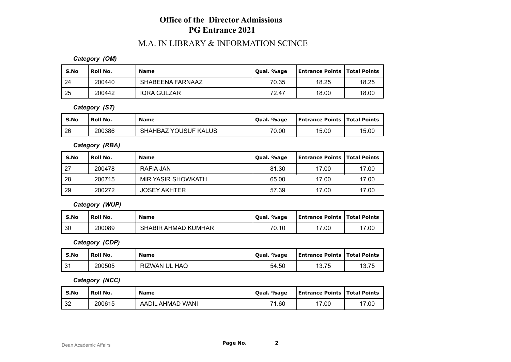## **Office of the Director Admissions PG Entrance 2021**

### M.A. IN LIBRARY & INFORMATION SCINCE

#### *Category (OM)*

| S.No | l Roll No. | <b>Name</b>        | Qual. %age | <b>Entrance Points   Total Points</b> |       |
|------|------------|--------------------|------------|---------------------------------------|-------|
| -24  | 200440     | SHABEENA FARNAAZ   | 70.35      | 18.25                                 | 18.25 |
| 25   | 200442     | <b>IQRA GULZAR</b> | 72.47      | 18.00                                 | 18.00 |

*Category (ST)*

| S.No | Roll No. | <b>Name</b>                      | %age<br>Oual. | <b>Entrance Points   Total Points</b> |       |
|------|----------|----------------------------------|---------------|---------------------------------------|-------|
| 26   | 200386   | Z YOUSUF KALUS<br><b>SHAHBAZ</b> | 70.00         | 15.00                                 | 15.00 |

*Category (RBA)*

| S.No        | Roll No. | <b>Name</b>         | Qual. %age | <b>Entrance Points   Total Points</b> |       |
|-------------|----------|---------------------|------------|---------------------------------------|-------|
| $\sqrt{27}$ | 200478   | RAFIA JAN           | 81.30      | 17.00                                 | 17.00 |
| -28         | 200715   | MIR YASIR SHOWKATH  | 65.00      | 17.00                                 | 17.00 |
| 29          | 200272   | <b>JOSEY AKHTER</b> | 57.39      | 17.00                                 | 17.00 |

*Category (WUP)*

| S.No | Roll No. | <b>Name</b>                     | Oual, %age | <b>Entrance Points   Total Points</b> |       |
|------|----------|---------------------------------|------------|---------------------------------------|-------|
| 30   | 200089   | <b>SHABIR</b><br>. AHMAD KUMHAR | 70.10      | 17.00                                 | 17.00 |

*Category (CDP)*

| S.No | Roll No. | Name                 | . %age<br>Oual. | <b>Entrance Points   Total Points</b> |                                                                         |
|------|----------|----------------------|-----------------|---------------------------------------|-------------------------------------------------------------------------|
| l 31 | 200505   | <b>RIZWAN UL HAQ</b> | 54.50           | 13.75                                 | $\rightarrow$ $\rightarrow$ $\rightarrow$<br>$\ddot{\sim}$<br>ن ، ، ب ا |

*Category (NCC)*

| S.No | Roll No. | <b>Name</b>      | Qual. %age | Entrance Points   Total Points |       |
|------|----------|------------------|------------|--------------------------------|-------|
| 32   | 200615   | AADIL AHMAD WANI | 71.60      | 17.00                          | 17.00 |